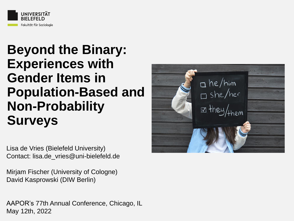

## **Beyond the Binary: Experiences with Gender Items in Population-Based and Non-Probability Surveys**

Lisa de Vries (Bielefeld University) Contact: lisa.de\_vries@uni-bielefeld.de

Mirjam Fischer (University of Cologne) David Kasprowski (DIW Berlin)

AAPOR's 77th Annual Conference, Chicago, IL May 12th, 2022

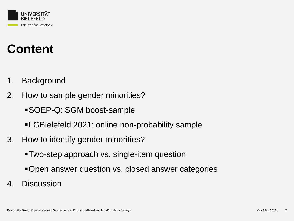

# **Content**

- 1. Background
- 2. How to sample gender minorities?
	- ▪SOEP-Q: SGM boost-sample
	- **ELGBielefeld 2021: online non-probability sample**
- 3. How to identify gender minorities?
	- **-Two-step approach vs. single-item question**
	- **•Open answer question vs. closed answer categories**
- 4. Discussion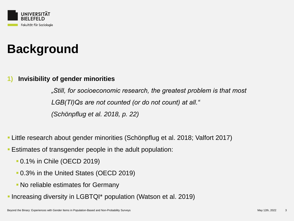

### **1) Invisibility of gender minorities**

*"Still, for socioeconomic research, the greatest problem is that most LGB(TI)Qs are not counted (or do not count) at all." (Schönpflug et al. 2018, p. 22)*

- Little research about gender minorities (Schönpflug et al. 2018; Valfort 2017)
- **E** Estimates of transgender people in the adult population:
	- 0.1% in Chile (OECD 2019)
	- 0.3% in the United States (OECD 2019)
	- No reliable estimates for Germany
- Increasing diversity in LGBTQI\* population (Watson et al. 2019)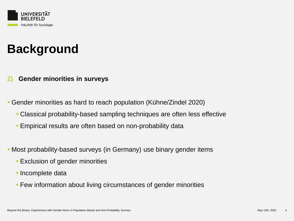

#### **2) Gender minorities in surveys**

▪ Gender minorities as hard to reach population (Kühne/Zindel 2020)

- Classical probability-based sampling techniques are often less effective
- **Empirical results are often based on non-probability data**
- **Most probability-based surveys (in Germany) use binary gender items** 
	- **Exclusion of gender minorities**
	- **· Incomplete data**
	- **EXECT:** Few information about living circumstances of gender minorities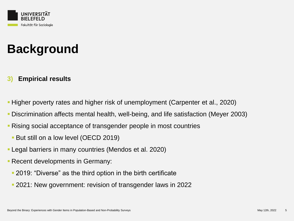

### **3) Empirical results**

- Higher poverty rates and higher risk of unemployment (Carpenter et al., 2020)
- Discrimination affects mental health, well-being, and life satisfaction (Meyer 2003)
- **Rising social acceptance of transgender people in most countries** 
	- **But still on a low level (OECD 2019)**
- **Legal barriers in many countries (Mendos et al. 2020)**
- **Execent developments in Germany:** 
	- **-2019: "Diverse" as the third option in the birth certificate**
	- 2021: New government: revision of transgender laws in 2022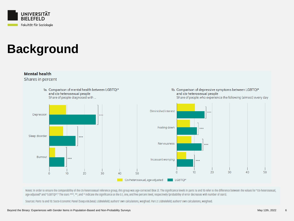



Notes: In order to ensure the comparability of the cis-heterosexual reference group, this group was age-corrected (Box 2). The significance levels in parts ta and tb refer to the difference between the values for "cis-hete age-adjusted" and "LGBTQI\*." The stars \*\*\*, \*\*, and \* Indicate the significance at the 0.1, one, and five percent level, respectively (probability of error decreases with number of stars).

Sources: Parts ta and tb: Socio-Economic Panel (Soep.v36.beta); LGBIelefeld; authors' own calculations, weighted. Part 2: LGBIelefeld; authors' own calculations, weighted.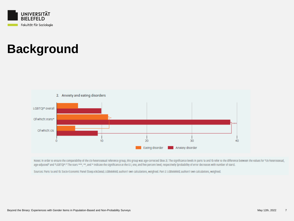



Notes: In order to ensure the comparability of the cis-heterosexual reference group, this group was age-corrected (Box 2). The significance levels in parts 1a and 1b refer to the difference between the values for "cis-hete age-adjusted" and "LGBTQI\*." The stars \*\*\*, \*\*, and \* Indicate the significance at the 0.1, one, and five percent level, respectively (probability of error decreases with number of stars).

Sources: Parts ta and tb: Socio-Economic Panel (Soep.v36.beta); LGBIelefeld; authors' own calculations, weighted. Part 2: LGBIelefeld; authors' own calculations, weighted.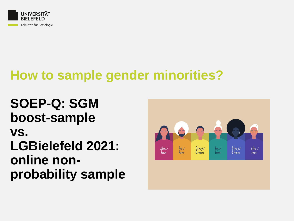

# **How to sample gender minorities?**

**SOEP-Q: SGM boost-sample vs. LGBielefeld 2021: online nonprobability sample**

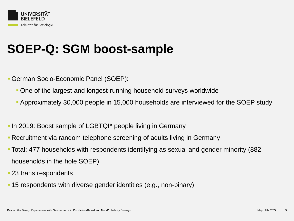

## **SOEP-Q: SGM boost-sample**

- German Socio-Economic Panel (SOEP):
	- One of the largest and longest-running household surveys worldwide
	- Approximately 30,000 people in 15,000 households are interviewed for the SOEP study
- **In 2019: Boost sample of LGBTQI**<sup>\*</sup> people living in Germany
- **Recruitment via random telephone screening of adults living in Germany**
- Total: 477 households with respondents identifying as sexual and gender minority (882 households in the hole SOEP)
- **23 trans respondents**
- 15 respondents with diverse gender identities (e.g., non-binary)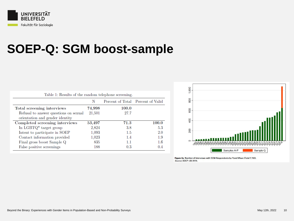

## **SOEP-Q: SGM boost-sample**

| Table 1: Results of the random telephone screening. |        |         |                                   |  |  |  |  |  |  |
|-----------------------------------------------------|--------|---------|-----------------------------------|--|--|--|--|--|--|
|                                                     | N      |         | Percent of Total Percent of Valid |  |  |  |  |  |  |
| Total screening interviews                          | 74,998 | 100.0   |                                   |  |  |  |  |  |  |
| Refusal to answer questions on sexual               | 21,501 | 27.7    |                                   |  |  |  |  |  |  |
| orientation and gender identity                     |        |         |                                   |  |  |  |  |  |  |
| Completed screening interviews                      | 53,497 | 71.3    | 100.0                             |  |  |  |  |  |  |
| In LGBTQ <sup>*</sup> target group                  | 2,824  | 3.8     | 5.3                               |  |  |  |  |  |  |
| Intent to participate in SOEP                       | 1,093  | 1.5     | 20                                |  |  |  |  |  |  |
| Contact information provided                        | 1,023  | $1.4\,$ | 1.9                               |  |  |  |  |  |  |
| Final gross boost Sample Q                          | 835    | 1.1     | $1.6\,$                           |  |  |  |  |  |  |
| False positive screenings                           | 188    | 0.3     | 0.4                               |  |  |  |  |  |  |



Figure 2a. Number of Interviews with SGM Respondents by Panel Wave (Total 7,762). Source: SOEP v36 2019.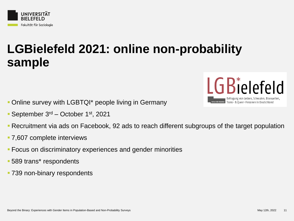

## **LGBielefeld 2021: online non-probability sample**

- **Online survey with LGBTQI\* people living in Germany**
- **September 3<sup>rd</sup>** October 1<sup>st</sup>, 2021



- 7,607 complete interviews
- Focus on discriminatory experiences and gender minorities
- 589 trans\* respondents
- 739 non-binary respondents

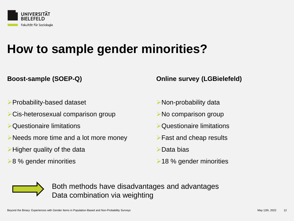

## **How to sample gender minorities?**

#### **Boost-sample (SOEP-Q)**

#### ➢Probability-based dataset

- ➢Cis-heterosexual comparison group
- ➢Questionaire limitations
- ➢Needs more time and a lot more money
- ➢Higher quality of the data
- **►8 % gender minorities**

#### **Online survey (LGBielefeld)**

- ➢Non-probability data
- ➢No comparison group
- ➢Questionaire limitations
- ➢Fast and cheap results
- ➢Data bias
- ➢18 % gender minorities



Both methods have disadvantages and advantages Data combination via weighting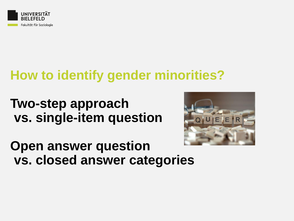

# **How to identify gender minorities?**

**Two-step approach vs. single-item question**



## **Open answer question vs. closed answer categories**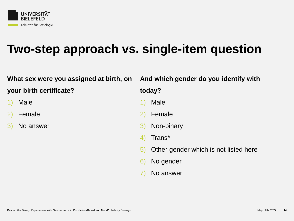

## **Two-step approach vs. single-item question**

#### **What sex were you assigned at birth, on**

**your birth certificate?**

- 1) Male
- 2) Female
- 3) No answer

#### **And which gender do you identify with**

#### **today?**

- 1) Male
- 2) Female
- 3) Non-binary
- 4) Trans\*
- 5) Other gender which is not listed here
- 6) No gender
- 7) No answer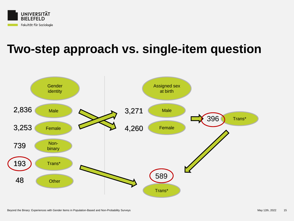

## **Two-step approach vs. single-item question**

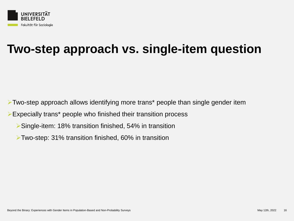

## **Two-step approach vs. single-item question**

➢Two-step approach allows identifying more trans\* people than single gender item

➢Expecially trans\* people who finished their transition process

- ➢Single-item: 18% transition finished, 54% in transition
- ➢Two-step: 31% transition finished, 60% in transition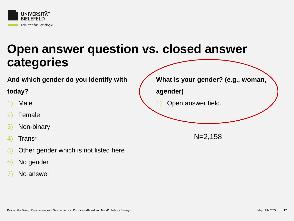

#### **And which gender do you identify with**

### **today?**

- 1) Male
- **Female**
- 3) Non-binary
- 4) Trans\*
- 5) Other gender which is not listed here
- 6) No gender
- No answer

**What is your gender? (e.g., woman, agender)** 1) Open answer field. N=2,158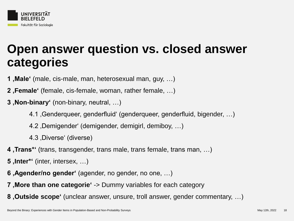

- **1**, Male' (male, cis-male, man, heterosexual man, guy, ...)
- **2**, Female' (female, cis-female, woman, rather female, ...)
- **3**, Non-binary' (non-binary, neutral, ...)
	- 4.1 Genderqueer, genderfluid' (genderqueer, genderfluid, bigender, ...)
	- 4.2, Demigender' (demigender, demigirl, demiboy, ...)
	- 4.3 Diverse' (diverse)
- 4, Trans<sup>\*</sup>' (trans, transgender, trans male, trans female, trans man, ...)
- **5**, **Inter\*'** (inter, intersex, ...)
- **6**, **Agender/no gender'** (agender, no gender, no one, ...)
- **7**, More than one categorie ' -> Dummy variables for each category
- **8** Outside scope' (unclear answer, unsure, troll answer, gender commentary, ...)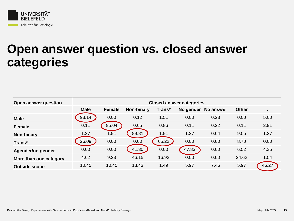

| Open answer question   | <b>Closed answer categories</b> |               |                   |        |           |                  |              |       |
|------------------------|---------------------------------|---------------|-------------------|--------|-----------|------------------|--------------|-------|
|                        | <b>Male</b>                     | <b>Female</b> | <b>Non-binary</b> | Trans* | No gender | <b>No answer</b> | <b>Other</b> |       |
| <b>Male</b>            | 93.14                           | 0.00          | 0.12              | 1.51   | 0.00      | 0.23             | 0.00         | 5.00  |
| <b>Female</b>          | 0.11                            | 95.04         | 0.65              | 0.86   | 0.11      | 0.22             | 0.11         | 2.91  |
| Non-binary             | 1.27                            | 1.91          | 89.81             | 1.91   | 1.27      | 0.64             | 9.55         | 1.27  |
| Trans*                 | 26.09                           | 0.00          | 0.00              | 65.22  | 0.00      | 0.00             | 8.70         | 0.00  |
| Agender/no gender      | 0.00                            | 0.00          | 41.30             | 0.00   | 47.83     | 0.00             | 6.52         | 4.35  |
| More than one category | 4.62                            | 9.23          | 46.15             | 16.92  | 0.00      | 0.00             | 24.62        | 1.54  |
| <b>Outside scope</b>   | 10.45                           | 10.45         | 13.43             | 1.49   | 5.97      | 7.46             | 5.97         | 46.27 |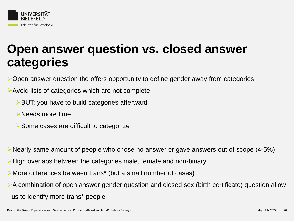

➢Open answer question the offers opportunity to define gender away from categories

### ➢Avoid lists of categories which are not complete

- ➢BUT: you have to build categories afterward
- ➢Needs more time
- ➢Some cases are difficult to categorize

➢Nearly same amount of people who chose no answer or gave answers out of scope (4-5%)

➢High overlaps between the categories male, female and non-binary

- ➢More differences between trans\* (but a small number of cases)
- ➢A combination of open answer gender question and closed sex (birth certificate) question allow us to identify more trans\* people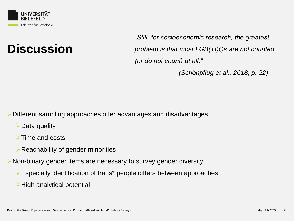

## **Discussion**

*"Still, for socioeconomic research, the greatest problem is that most LGB(TI)Qs are not counted (or do not count) at all."* 

*(Schönpflug et al., 2018, p. 22)*

➢Different sampling approaches offer advantages and disadvantages

➢Data quality

➢Time and costs

➢Reachability of gender minorities

➢Non-binary gender items are necessary to survey gender diversity

- ➢Especially identification of trans\* people differs between approaches
- ➢High analytical potential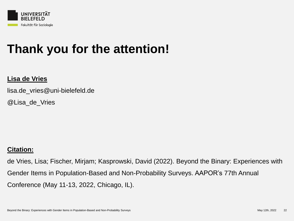

## **Thank you for the attention!**

#### **Lisa de Vries**

lisa.de\_vries@uni-bielefeld.de

@Lisa\_de\_Vries

### **Citation:**

de Vries, Lisa; Fischer, Mirjam; Kasprowski, David (2022). Beyond the Binary: Experiences with Gender Items in Population-Based and Non-Probability Surveys. AAPOR's 77th Annual Conference (May 11-13, 2022, Chicago, IL).